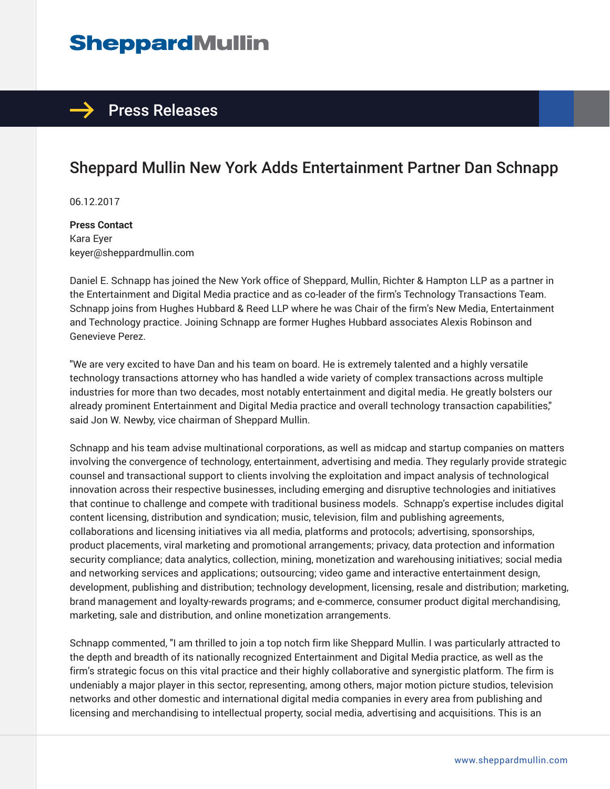# **SheppardMullin**

## $\rightarrow$  Press Releases

## Sheppard Mullin New York Adds Entertainment Partner Dan Schnapp

06.12.2017

**Press Contact** Kara Eyer keyer@sheppardmullin.com

Daniel E. Schnapp has joined the New York office of Sheppard, Mullin, Richter & Hampton LLP as a partner in the Entertainment and Digital Media practice and as co-leader of the firm's Technology Transactions Team. Schnapp joins from Hughes Hubbard & Reed LLP where he was Chair of the firm's New Media, Entertainment and Technology practice. Joining Schnapp are former Hughes Hubbard associates Alexis Robinson and Genevieve Perez.

"We are very excited to have Dan and his team on board. He is extremely talented and a highly versatile technology transactions attorney who has handled a wide variety of complex transactions across multiple industries for more than two decades, most notably entertainment and digital media. He greatly bolsters our already prominent Entertainment and Digital Media practice and overall technology transaction capabilities," said Jon W. Newby, vice chairman of Sheppard Mullin.

Schnapp and his team advise multinational corporations, as well as midcap and startup companies on matters involving the convergence of technology, entertainment, advertising and media. They regularly provide strategic counsel and transactional support to clients involving the exploitation and impact analysis of technological innovation across their respective businesses, including emerging and disruptive technologies and initiatives that continue to challenge and compete with traditional business models. Schnapp's expertise includes digital content licensing, distribution and syndication; music, television, film and publishing agreements, collaborations and licensing initiatives via all media, platforms and protocols; advertising, sponsorships, product placements, viral marketing and promotional arrangements; privacy, data protection and information security compliance; data analytics, collection, mining, monetization and warehousing initiatives; social media and networking services and applications; outsourcing; video game and interactive entertainment design, development, publishing and distribution; technology development, licensing, resale and distribution; marketing, brand management and loyalty-rewards programs; and e-commerce, consumer product digital merchandising, marketing, sale and distribution, and online monetization arrangements.

Schnapp commented, "I am thrilled to join a top notch firm like Sheppard Mullin. I was particularly attracted to the depth and breadth of its nationally recognized Entertainment and Digital Media practice, as well as the firm's strategic focus on this vital practice and their highly collaborative and synergistic platform. The firm is undeniably a major player in this sector, representing, among others, major motion picture studios, television networks and other domestic and international digital media companies in every area from publishing and licensing and merchandising to intellectual property, social media, advertising and acquisitions. This is an